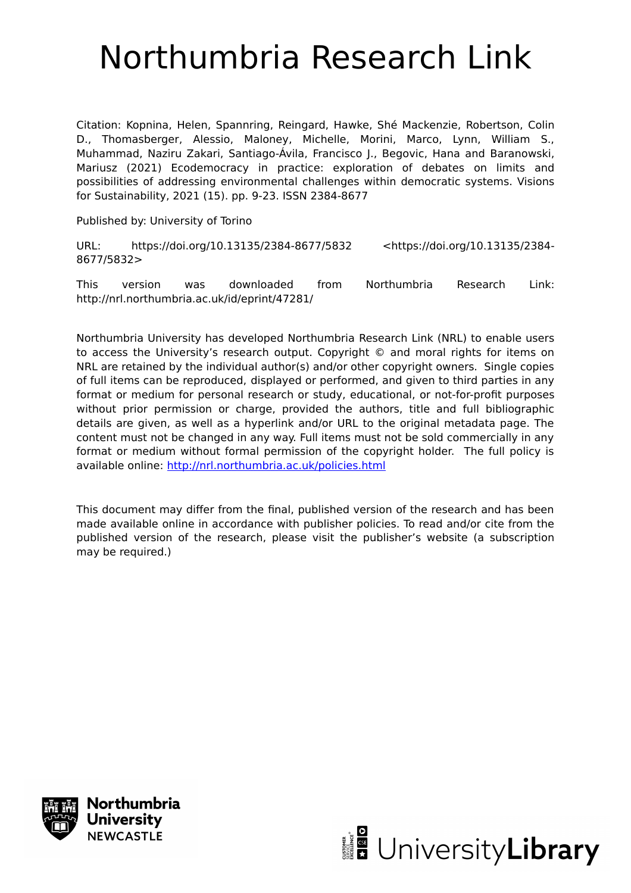# Northumbria Research Link

Citation: Kopnina, Helen, Spannring, Reingard, Hawke, Shé Mackenzie, Robertson, Colin D., Thomasberger, Alessio, Maloney, Michelle, Morini, Marco, Lynn, William S., Muhammad, Naziru Zakari, Santiago-Ávila, Francisco J., Begovic, Hana and Baranowski, Mariusz (2021) Ecodemocracy in practice: exploration of debates on limits and possibilities of addressing environmental challenges within democratic systems. Visions for Sustainability, 2021 (15). pp. 9-23. ISSN 2384-8677

Published by: University of Torino

URL: https://doi.org/10.13135/2384-8677/5832 <https://doi.org/10.13135/2384-8677/5832>

This version was downloaded from Northumbria Research Link: http://nrl.northumbria.ac.uk/id/eprint/47281/

Northumbria University has developed Northumbria Research Link (NRL) to enable users to access the University's research output. Copyright © and moral rights for items on NRL are retained by the individual author(s) and/or other copyright owners. Single copies of full items can be reproduced, displayed or performed, and given to third parties in any format or medium for personal research or study, educational, or not-for-profit purposes without prior permission or charge, provided the authors, title and full bibliographic details are given, as well as a hyperlink and/or URL to the original metadata page. The content must not be changed in any way. Full items must not be sold commercially in any format or medium without formal permission of the copyright holder. The full policy is available online:<http://nrl.northumbria.ac.uk/policies.html>

This document may differ from the final, published version of the research and has been made available online in accordance with publisher policies. To read and/or cite from the published version of the research, please visit the publisher's website (a subscription may be required.)



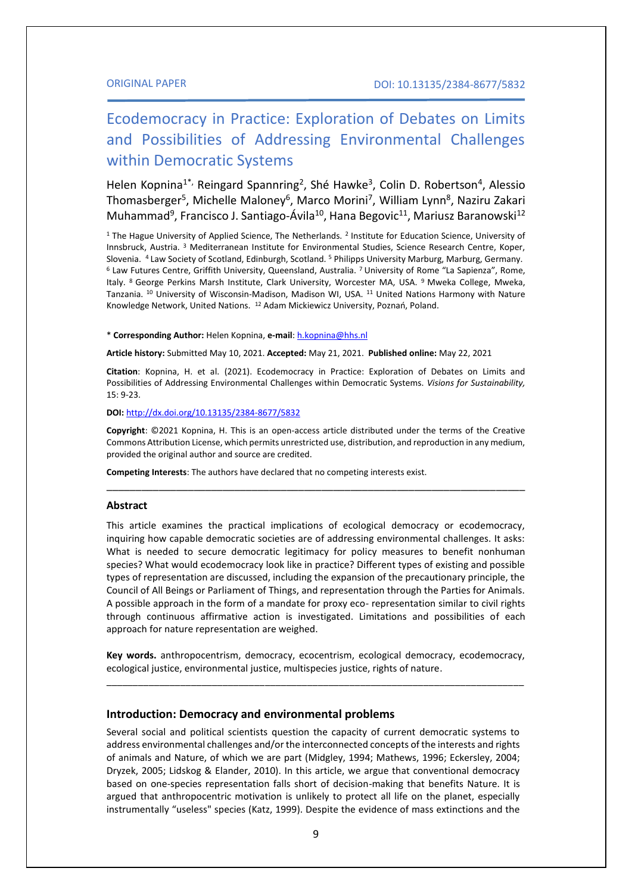# Ecodemocracy in Practice: Exploration of Debates on Limits and Possibilities of Addressing Environmental Challenges within Democratic Systems

Helen Kopnina<sup>1\*,</sup> Reingard Spannring<sup>2</sup>, Shé Hawke<sup>3</sup>, Colin D. Robertson<sup>4</sup>, Alessio Thomasberger<sup>5</sup>, Michelle Maloney<sup>6</sup>, Marco Morini<sup>7</sup>, William Lynn<sup>8</sup>, Naziru Zakari Muhammad<sup>9</sup>, Francisco J. Santiago-Ávila<sup>10</sup>, Hana Begovic<sup>11</sup>, Mariusz Baranowski<sup>12</sup>

<sup>1</sup> The Hague University of Applied Science, The Netherlands. <sup>2</sup> Institute for Education Science, University of Innsbruck, Austria. <sup>3</sup> Mediterranean Institute for Environmental Studies, Science Research Centre, Koper, Slovenia. <sup>4</sup> Law Society of Scotland, Edinburgh, Scotland. <sup>5</sup> Philipps University Marburg, Marburg, Germany. <sup>6</sup> Law Futures Centre, Griffith University, Queensland, Australia. <sup>7</sup>University of Rome "La Sapienza", Rome, Italy. <sup>8</sup> George Perkins Marsh Institute, Clark University, Worcester MA, USA. <sup>9</sup> Mweka College, Mweka, Tanzania. <sup>10</sup> University of Wisconsin-Madison, Madison WI, USA. <sup>11</sup> United Nations Harmony with Nature Knowledge Network, United Nations. <sup>12</sup> Adam Mickiewicz University, Poznań, Poland.

\* **Corresponding Author:** Helen Kopnina, **e-mail**: [h.kopnina@hhs.nl](mailto:h.kopnina@hhs.nl)

**Article history:** Submitted May 10, 2021. **Accepted:** May 21, 2021. **Published online:** May 22, 2021

**Citation**: Kopnina, H. et al. (2021). Ecodemocracy in Practice: Exploration of Debates on Limits and Possibilities of Addressing Environmental Challenges within Democratic Systems. *Visions for Sustainability,*  15: 9-23.

**DOI:** <http://dx.doi.org/10.13135/2384-8677/5832>

**Copyright**: ©2021 Kopnina, H. This is an open-access article distributed under the terms of the Creative Commons Attribution License, which permits unrestricted use, distribution, and reproduction in any medium, provided the original author and source are credited.

\_\_\_\_\_\_\_\_\_\_\_\_\_\_\_\_\_\_\_\_\_\_\_\_\_\_\_\_\_\_\_\_\_\_\_\_\_\_\_\_\_\_\_\_\_\_\_\_\_\_\_\_\_\_\_\_\_\_\_\_\_\_\_\_\_\_\_\_\_\_\_\_

**Competing Interests**: The authors have declared that no competing interests exist.

#### **Abstract**

This article examines the practical implications of ecological democracy or ecodemocracy, inquiring how capable democratic societies are of addressing environmental challenges. It asks: What is needed to secure democratic legitimacy for policy measures to benefit nonhuman species? What would ecodemocracy look like in practice? Different types of existing and possible types of representation are discussed, including the expansion of the precautionary principle, the Council of All Beings or Parliament of Things, and representation through the Parties for Animals. A possible approach in the form of a mandate for proxy eco- representation similar to civil rights through continuous affirmative action is investigated. Limitations and possibilities of each approach for nature representation are weighed.

**Key words.** anthropocentrism, democracy, ecocentrism, ecological democracy, ecodemocracy, ecological justice, environmental justice, multispecies justice, rights of nature. \_\_\_\_\_\_\_\_\_\_\_\_\_\_\_\_\_\_\_\_\_\_\_\_\_\_\_\_\_\_\_\_\_\_\_\_\_\_\_\_\_\_\_\_\_\_\_\_\_\_\_\_\_\_\_\_\_\_\_\_\_\_\_\_\_\_\_\_\_\_\_\_\_\_\_\_\_\_\_

#### **Introduction: Democracy and environmental problems**

Several social and political scientists question the capacity of current democratic systems to address environmental challenges and/or the interconnected concepts of the interests and rights of animals and Nature, of which we are part (Midgley, 1994; Mathews, 1996; Eckersley, 2004; Dryzek, 2005; Lidskog & Elander, 2010). In this article, we argue that conventional democracy based on one-species representation falls short of decision-making that benefits Nature. It is argued that anthropocentric motivation is unlikely to protect all life on the planet, especially instrumentally "useless" species (Katz, 1999). Despite the evidence of mass extinctions and the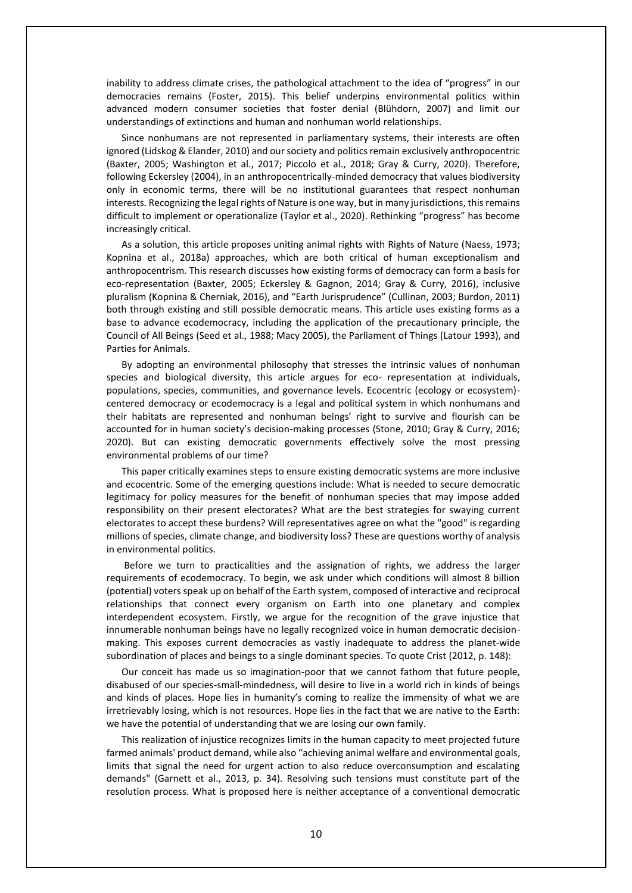inability to address climate crises, the pathological attachment to the idea of "progress" in our democracies remains (Foster, 2015). This belief underpins environmental politics within advanced modern consumer societies that foster denial (Blühdorn, 2007) and limit our understandings of extinctions and human and nonhuman world relationships.

Since nonhumans are not represented in parliamentary systems, their interests are often ignored (Lidskog & Elander, 2010) and our society and politics remain exclusively anthropocentric (Baxter, 2005; Washington et al., 2017; Piccolo et al., 2018; Gray & Curry, 2020). Therefore, following Eckersley (2004), in an anthropocentrically-minded democracy that values biodiversity only in economic terms, there will be no institutional guarantees that respect nonhuman interests. Recognizing the legal rights of Nature is one way, but in many jurisdictions, this remains difficult to implement or operationalize (Taylor et al., 2020). Rethinking "progress" has become increasingly critical.

As a solution, this article proposes uniting animal rights with Rights of Nature (Naess, 1973; Kopnina et al., 2018a) approaches, which are both critical of human exceptionalism and anthropocentrism. This research discusses how existing forms of democracy can form a basis for eco-representation (Baxter, 2005; Eckersley & Gagnon, 2014; Gray & Curry, 2016), inclusive pluralism (Kopnina & Cherniak, 2016), and "Earth Jurisprudence" (Cullinan, 2003; Burdon, 2011) both through existing and still possible democratic means. This article uses existing forms as a base to advance ecodemocracy, including the application of the precautionary principle, the Council of All Beings (Seed et al., 1988; Macy 2005), the Parliament of Things (Latour 1993), and Parties for Animals.

By adopting an environmental philosophy that stresses the intrinsic values of nonhuman species and biological diversity, this article argues for eco- representation at individuals, populations, species, communities, and governance levels. Ecocentric (ecology or ecosystem) centered democracy or ecodemocracy is a legal and political system in which nonhumans and their habitats are represented and nonhuman beings' right to survive and flourish can be accounted for in human society's decision-making processes (Stone, 2010; Gray & Curry, 2016; 2020). But can existing democratic governments effectively solve the most pressing environmental problems of our time?

This paper critically examines steps to ensure existing democratic systems are more inclusive and ecocentric. Some of the emerging questions include: What is needed to secure democratic legitimacy for policy measures for the benefit of nonhuman species that may impose added responsibility on their present electorates? What are the best strategies for swaying current electorates to accept these burdens? Will representatives agree on what the "good" is regarding millions of species, climate change, and biodiversity loss? These are questions worthy of analysis in environmental politics.

Before we turn to practicalities and the assignation of rights, we address the larger requirements of ecodemocracy. To begin, we ask under which conditions will almost 8 billion (potential) voters speak up on behalf of the Earth system, composed of interactive and reciprocal relationships that connect every organism on Earth into one planetary and complex interdependent ecosystem. Firstly, we argue for the recognition of the grave injustice that innumerable nonhuman beings have no legally recognized voice in human democratic decisionmaking. This exposes current democracies as vastly inadequate to address the planet-wide subordination of places and beings to a single dominant species. To quote Crist (2012, p. 148):

Our conceit has made us so imagination-poor that we cannot fathom that future people, disabused of our species-small-mindedness, will desire to live in a world rich in kinds of beings and kinds of places. Hope lies in humanity's coming to realize the immensity of what we are irretrievably losing, which is not resources. Hope lies in the fact that we are native to the Earth: we have the potential of understanding that we are losing our own family.

This realization of injustice recognizes limits in the human capacity to meet projected future farmed animals' product demand, while also "achieving animal welfare and environmental goals, limits that signal the need for urgent action to also reduce overconsumption and escalating demands" (Garnett et al., 2013, p. 34). Resolving such tensions must constitute part of the resolution process. What is proposed here is neither acceptance of a conventional democratic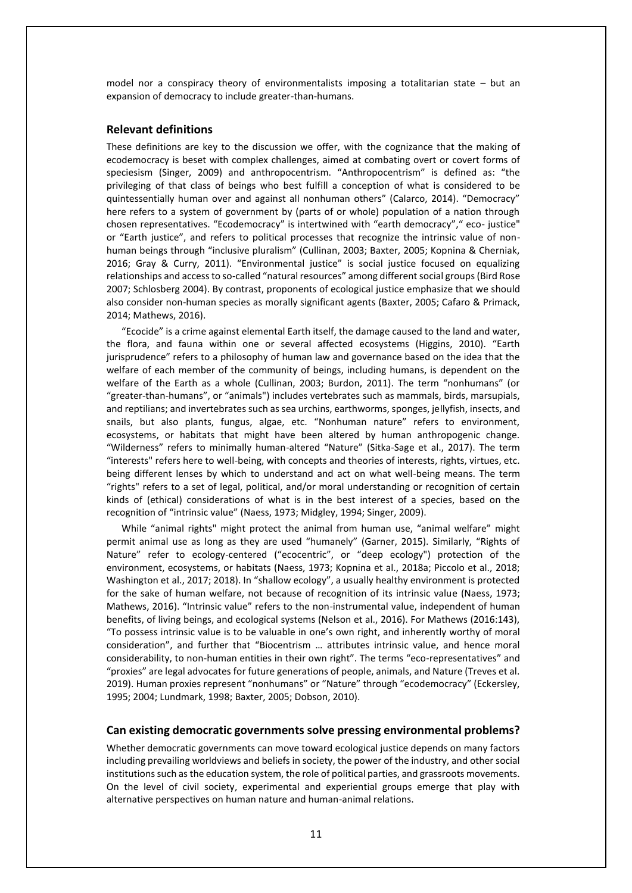model nor a conspiracy theory of environmentalists imposing a totalitarian state – but an expansion of democracy to include greater-than-humans.

### **Relevant definitions**

These definitions are key to the discussion we offer, with the cognizance that the making of ecodemocracy is beset with complex challenges, aimed at combating overt or covert forms of speciesism (Singer, 2009) and anthropocentrism. "Anthropocentrism" is defined as: "the privileging of that class of beings who best fulfill a conception of what is considered to be quintessentially human over and against all nonhuman others" (Calarco, 2014). "Democracy" here refers to a system of government by (parts of or whole) population of a nation through chosen representatives. "Ecodemocracy" is intertwined with "earth democracy"," eco- justice" or "Earth justice", and refers to political processes that recognize the intrinsic value of nonhuman beings through "inclusive pluralism" (Cullinan, 2003; Baxter, 2005; Kopnina & Cherniak, 2016; Gray & Curry, 2011). "Environmental justice" is social justice focused on equalizing relationships and access to so-called "natural resources" among different social groups (Bird Rose 2007; Schlosberg 2004). By contrast, proponents of ecological justice emphasize that we should also consider non-human species as morally significant agents (Baxter, 2005; Cafaro & Primack, 2014; Mathews, 2016).

"Ecocide" is a crime against elemental Earth itself, the damage caused to the land and water, the flora, and fauna within one or several affected ecosystems (Higgins, 2010). "Earth jurisprudence" refers to a philosophy of human law and governance based on the idea that the welfare of each member of the community of beings, including humans, is dependent on the welfare of the Earth as a whole (Cullinan, 2003; Burdon, 2011). The term "nonhumans" (or "greater-than-humans", or "animals") includes vertebrates such as mammals, birds, marsupials, and reptilians; and invertebrates such as sea urchins, earthworms, sponges, jellyfish, insects, and snails, but also plants, fungus, algae, etc. "Nonhuman nature" refers to environment, ecosystems, or habitats that might have been altered by human anthropogenic change. "Wilderness" refers to minimally human-altered "Nature" (Sitka-Sage et al., 2017). The term "interests" refers here to well-being, with concepts and theories of interests, rights, virtues, etc. being different lenses by which to understand and act on what well-being means. The term "rights" refers to a set of legal, political, and/or moral understanding or recognition of certain kinds of (ethical) considerations of what is in the best interest of a species, based on the recognition of "intrinsic value" (Naess, 1973; Midgley, 1994; Singer, 2009).

While "animal rights" might protect the animal from human use, "animal welfare" might permit animal use as long as they are used "humanely" (Garner, 2015). Similarly, "Rights of Nature" refer to ecology-centered ("ecocentric", or "deep ecology") protection of the environment, ecosystems, or habitats (Naess, 1973; Kopnina et al., 2018a; Piccolo et al., 2018; Washington et al., 2017; 2018). In "shallow ecology", a usually healthy environment is protected for the sake of human welfare, not because of recognition of its intrinsic value (Naess, 1973; Mathews, 2016). "Intrinsic value" refers to the non-instrumental value, independent of human benefits, of living beings, and ecological systems (Nelson et al., 2016). For Mathews (2016:143), "To possess intrinsic value is to be valuable in one's own right, and inherently worthy of moral consideration", and further that "Biocentrism … attributes intrinsic value, and hence moral considerability, to non-human entities in their own right". The terms "eco-representatives" and "proxies" are legal advocates for future generations of people, animals, and Nature (Treves et al. 2019). Human proxies represent "nonhumans" or "Nature" through "ecodemocracy" (Eckersley, 1995; 2004; Lundmark, 1998; Baxter, 2005; Dobson, 2010).

#### **Can existing democratic governments solve pressing environmental problems?**

Whether democratic governments can move toward ecological justice depends on many factors including prevailing worldviews and beliefs in society, the power of the industry, and other social institutions such as the education system, the role of political parties, and grassroots movements. On the level of civil society, experimental and experiential groups emerge that play with alternative perspectives on human nature and human-animal relations.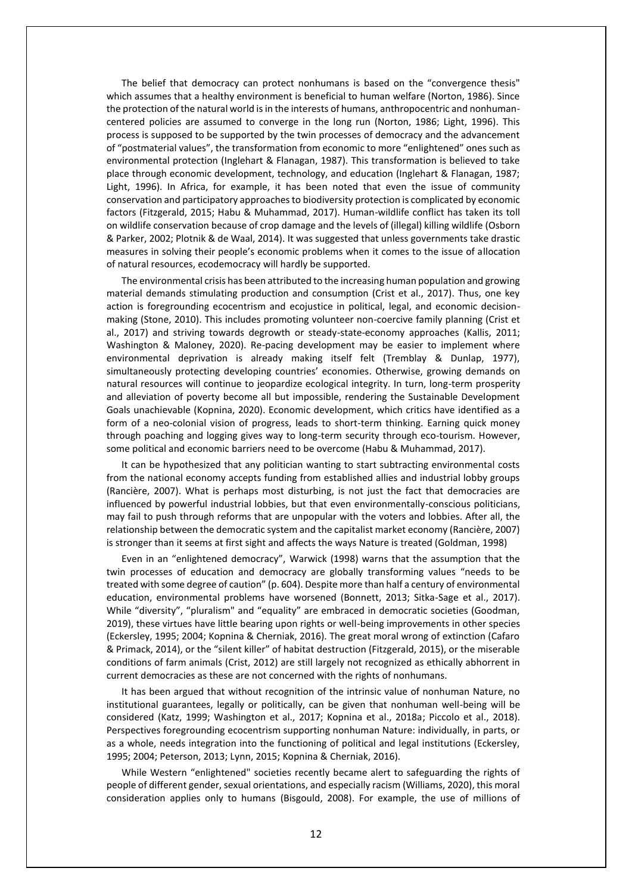The belief that democracy can protect nonhumans is based on the "convergence thesis" which assumes that a healthy environment is beneficial to human welfare (Norton, 1986). Since the protection of the natural world is in the interests of humans, anthropocentric and nonhumancentered policies are assumed to converge in the long run (Norton, 1986; Light, 1996). This process is supposed to be supported by the twin processes of democracy and the advancement of "postmaterial values", the transformation from economic to more "enlightened" ones such as environmental protection (Inglehart & Flanagan, 1987). This transformation is believed to take place through economic development, technology, and education (Inglehart & Flanagan, 1987; Light, 1996). In Africa, for example, it has been noted that even the issue of community conservation and participatory approaches to biodiversity protection is complicated by economic factors (Fitzgerald, 2015; Habu & Muhammad, 2017). Human-wildlife conflict has taken its toll on wildlife conservation because of crop damage and the levels of (illegal) killing wildlife (Osborn & Parker, 2002; Plotnik & de Waal, 2014). It was suggested that unless governments take drastic measures in solving their people's economic problems when it comes to the issue of allocation of natural resources, ecodemocracy will hardly be supported.

The environmental crisis has been attributed to the increasing human population and growing material demands stimulating production and consumption (Crist et al., 2017). Thus, one key action is foregrounding ecocentrism and ecojustice in political, legal, and economic decisionmaking (Stone, 2010). This includes promoting volunteer non-coercive family planning (Crist et al., 2017) and striving towards degrowth or steady-state-economy approaches (Kallis, 2011; Washington & Maloney, 2020). Re-pacing development may be easier to implement where environmental deprivation is already making itself felt (Tremblay & Dunlap, 1977), simultaneously protecting developing countries' economies. Otherwise, growing demands on natural resources will continue to jeopardize ecological integrity. In turn, long-term prosperity and alleviation of poverty become all but impossible, rendering the Sustainable Development Goals unachievable (Kopnina, 2020). Economic development, which critics have identified as a form of a neo-colonial vision of progress, leads to short-term thinking. Earning quick money through poaching and logging gives way to long-term security through eco-tourism. However, some political and economic barriers need to be overcome (Habu & Muhammad, 2017).

It can be hypothesized that any politician wanting to start subtracting environmental costs from the national economy accepts funding from established allies and industrial lobby groups (Rancière, 2007). What is perhaps most disturbing, is not just the fact that democracies are influenced by powerful industrial lobbies, but that even environmentally-conscious politicians, may fail to push through reforms that are unpopular with the voters and lobbies. After all, the relationship between the democratic system and the capitalist market economy (Rancière, 2007) is stronger than it seems at first sight and affects the ways Nature is treated (Goldman, 1998)

Even in an "enlightened democracy", Warwick (1998) warns that the assumption that the twin processes of education and democracy are globally transforming values "needs to be treated with some degree of caution" (p. 604). Despite more than half a century of environmental education, environmental problems have worsened (Bonnett, 2013; Sitka-Sage et al., 2017). While "diversity", "pluralism" and "equality" are embraced in democratic societies (Goodman, 2019), these virtues have little bearing upon rights or well-being improvements in other species (Eckersley, 1995; 2004; Kopnina & Cherniak, 2016). The great moral wrong of extinction (Cafaro & Primack, 2014), or the "silent killer" of habitat destruction (Fitzgerald, 2015), or the miserable conditions of farm animals (Crist, 2012) are still largely not recognized as ethically abhorrent in current democracies as these are not concerned with the rights of nonhumans.

It has been argued that without recognition of the intrinsic value of nonhuman Nature, no institutional guarantees, legally or politically, can be given that nonhuman well-being will be considered (Katz, 1999; Washington et al., 2017; Kopnina et al., 2018a; Piccolo et al., 2018). Perspectives foregrounding ecocentrism supporting nonhuman Nature: individually, in parts, or as a whole, needs integration into the functioning of political and legal institutions (Eckersley, 1995; 2004; Peterson, 2013; Lynn, 2015; Kopnina & Cherniak, 2016).

While Western "enlightened" societies recently became alert to safeguarding the rights of people of different gender, sexual orientations, and especially racism (Williams, 2020), this moral consideration applies only to humans (Bisgould, 2008). For example, the use of millions of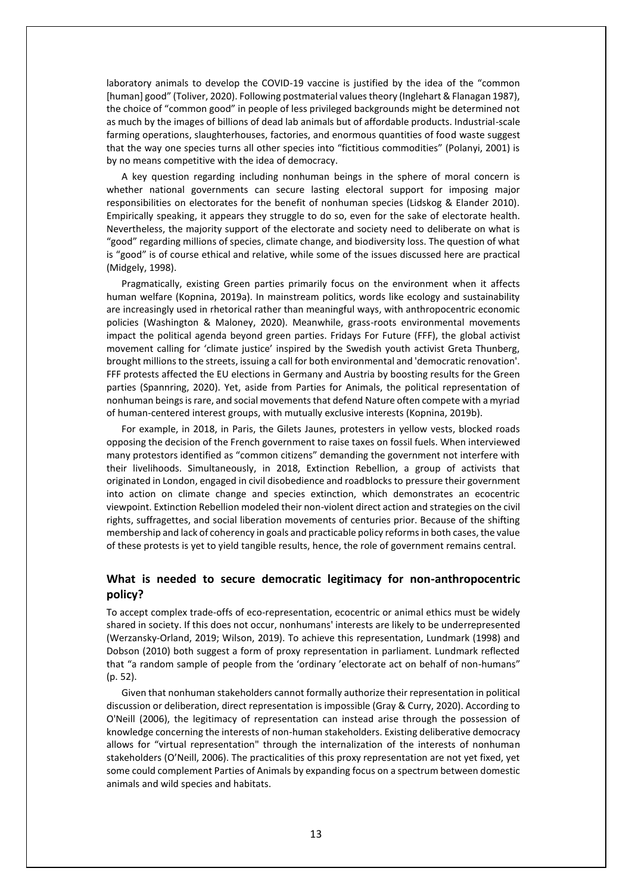laboratory animals to develop the COVID-19 vaccine is justified by the idea of the "common [human] good" (Toliver, 2020). Following postmaterial values theory (Inglehart & Flanagan 1987), the choice of "common good" in people of less privileged backgrounds might be determined not as much by the images of billions of dead lab animals but of affordable products. Industrial-scale farming operations, slaughterhouses, factories, and enormous quantities of food waste suggest that the way one species turns all other species into "fictitious commodities" (Polanyi, 2001) is by no means competitive with the idea of democracy.

A key question regarding including nonhuman beings in the sphere of moral concern is whether national governments can secure lasting electoral support for imposing major responsibilities on electorates for the benefit of nonhuman species (Lidskog & Elander 2010). Empirically speaking, it appears they struggle to do so, even for the sake of electorate health. Nevertheless, the majority support of the electorate and society need to deliberate on what is "good" regarding millions of species, climate change, and biodiversity loss. The question of what is "good" is of course ethical and relative, while some of the issues discussed here are practical (Midgely, 1998).

Pragmatically, existing Green parties primarily focus on the environment when it affects human welfare (Kopnina, 2019a). In mainstream politics, words like ecology and sustainability are increasingly used in rhetorical rather than meaningful ways, with anthropocentric economic policies (Washington & Maloney, 2020). Meanwhile, grass-roots environmental movements impact the political agenda beyond green parties. Fridays For Future (FFF), the global activist movement calling for 'climate justice' inspired by the Swedish youth activist Greta Thunberg, brought millions to the streets, issuing a call for both environmental and 'democratic renovation'. FFF protests affected the EU elections in Germany and Austria by boosting results for the Green parties (Spannring, 2020). Yet, aside from Parties for Animals, the political representation of nonhuman beings is rare, and social movements that defend Nature often compete with a myriad of human-centered interest groups, with mutually exclusive interests (Kopnina, 2019b).

For example, in 2018, in Paris, the Gilets Jaunes, protesters in yellow vests, blocked roads opposing the decision of the French government to raise taxes on fossil fuels. When interviewed many protestors identified as "common citizens" demanding the government not interfere with their livelihoods. Simultaneously, in 2018, Extinction Rebellion, a group of activists that originated in London, engaged in civil disobedience and roadblocks to pressure their government into action on climate change and species extinction, which demonstrates an ecocentric viewpoint. Extinction Rebellion modeled their non-violent direct action and strategies on the civil rights, suffragettes, and social liberation movements of centuries prior. Because of the shifting membership and lack of coherency in goals and practicable policy reforms in both cases, the value of these protests is yet to yield tangible results, hence, the role of government remains central.

# **What is needed to secure democratic legitimacy for non-anthropocentric policy?**

To accept complex trade-offs of eco-representation, ecocentric or animal ethics must be widely shared in society. If this does not occur, nonhumans' interests are likely to be underrepresented (Werzansky-Orland, 2019; Wilson, 2019). To achieve this representation, Lundmark (1998) and Dobson (2010) both suggest a form of proxy representation in parliament. Lundmark reflected that "a random sample of people from the 'ordinary 'electorate act on behalf of non-humans" (p. 52).

Given that nonhuman stakeholders cannot formally authorize their representation in political discussion or deliberation, direct representation is impossible (Gray & Curry, 2020). According to O'Neill (2006), the legitimacy of representation can instead arise through the possession of knowledge concerning the interests of non-human stakeholders. Existing deliberative democracy allows for "virtual representation" through the internalization of the interests of nonhuman stakeholders (O'Neill, 2006). The practicalities of this proxy representation are not yet fixed, yet some could complement Parties of Animals by expanding focus on a spectrum between domestic animals and wild species and habitats.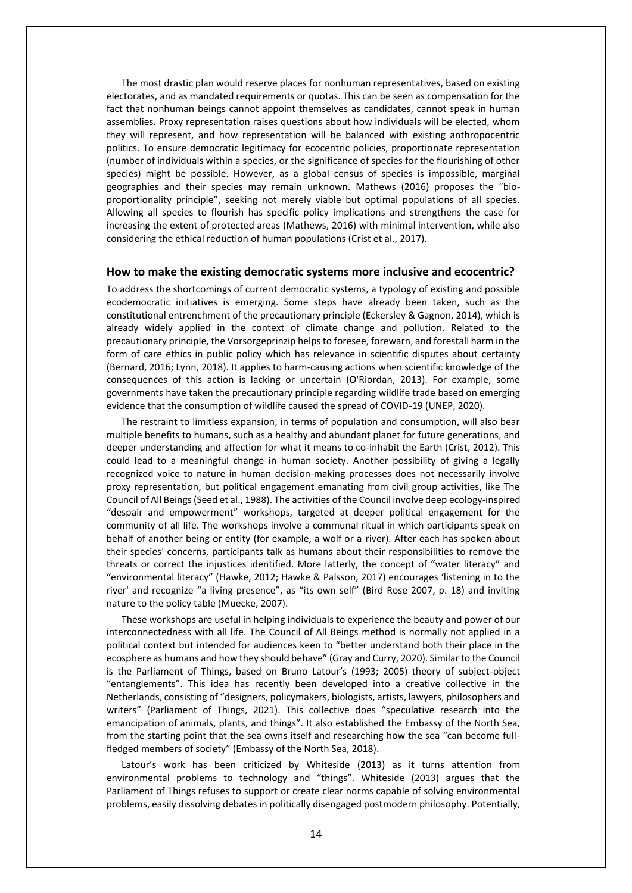The most drastic plan would reserve places for nonhuman representatives, based on existing electorates, and as mandated requirements or quotas. This can be seen as compensation for the fact that nonhuman beings cannot appoint themselves as candidates, cannot speak in human assemblies. Proxy representation raises questions about how individuals will be elected, whom they will represent, and how representation will be balanced with existing anthropocentric politics. To ensure democratic legitimacy for ecocentric policies, proportionate representation (number of individuals within a species, or the significance of species for the flourishing of other species) might be possible. However, as a global census of species is impossible, marginal geographies and their species may remain unknown. Mathews (2016) proposes the "bioproportionality principle", seeking not merely viable but optimal populations of all species. Allowing all species to flourish has specific policy implications and strengthens the case for increasing the extent of protected areas (Mathews, 2016) with minimal intervention, while also considering the ethical reduction of human populations (Crist et al., 2017).

#### **How to make the existing democratic systems more inclusive and ecocentric?**

To address the shortcomings of current democratic systems, a typology of existing and possible ecodemocratic initiatives is emerging. Some steps have already been taken, such as the constitutional entrenchment of the precautionary principle (Eckersley & Gagnon, 2014), which is already widely applied in the context of climate change and pollution. Related to the precautionary principle, the Vorsorgeprinzip helps to foresee, forewarn, and forestall harm in the form of care ethics in public policy which has relevance in scientific disputes about certainty (Bernard, 2016; Lynn, 2018). It applies to harm-causing actions when scientific knowledge of the consequences of this action is lacking or uncertain (O'Riordan, 2013). For example, some governments have taken the precautionary principle regarding wildlife trade based on emerging evidence that the consumption of wildlife caused the spread of COVID-19 (UNEP, 2020).

The restraint to limitless expansion, in terms of population and consumption, will also bear multiple benefits to humans, such as a healthy and abundant planet for future generations, and deeper understanding and affection for what it means to co-inhabit the Earth (Crist, 2012). This could lead to a meaningful change in human society. Another possibility of giving a legally recognized voice to nature in human decision-making processes does not necessarily involve proxy representation, but political engagement emanating from civil group activities, like The Council of All Beings (Seed et al., 1988). The activities of the Council involve deep ecology-inspired "despair and empowerment" workshops, targeted at deeper political engagement for the community of all life. The workshops involve a communal ritual in which participants speak on behalf of another being or entity (for example, a wolf or a river). After each has spoken about their species' concerns, participants talk as humans about their responsibilities to remove the threats or correct the injustices identified. More latterly, the concept of "water literacy" and "environmental literacy" (Hawke, 2012; Hawke & Palsson, 2017) encourages 'listening in to the river' and recognize "a living presence", as "its own self" (Bird Rose 2007, p. 18) and inviting nature to the policy table (Muecke, 2007).

These workshops are useful in helping individuals to experience the beauty and power of our interconnectedness with all life. The Council of All Beings method is normally not applied in a political context but intended for audiences keen to "better understand both their place in the ecosphere as humans and how they should behave" (Gray and Curry, 2020). Similar to the Council is the Parliament of Things, based on Bruno Latour's (1993; 2005) theory of subject-object "entanglements". This idea has recently been developed into a creative collective in the Netherlands, consisting of "designers, policymakers, biologists, artists, lawyers, philosophers and writers" (Parliament of Things, 2021). This collective does "speculative research into the emancipation of animals, plants, and things". It also established the Embassy of the North Sea, from the starting point that the sea owns itself and researching how the sea "can become fullfledged members of society" (Embassy of the North Sea, 2018).

Latour's work has been criticized by Whiteside (2013) as it turns attention from environmental problems to technology and "things". Whiteside (2013) argues that the Parliament of Things refuses to support or create clear norms capable of solving environmental problems, easily dissolving debates in politically disengaged postmodern philosophy. Potentially,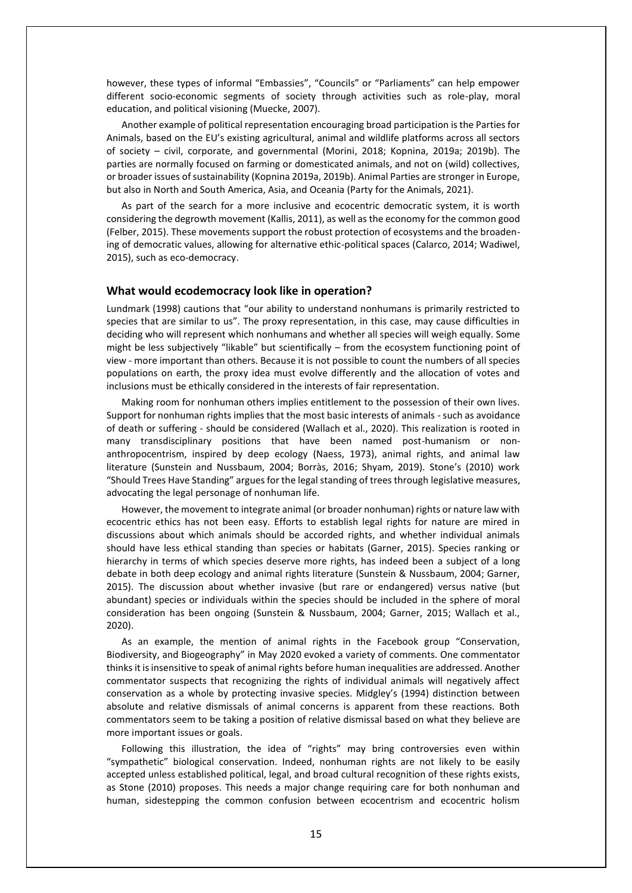however, these types of informal "Embassies", "Councils" or "Parliaments" can help empower different socio-economic segments of society through activities such as role-play, moral education, and political visioning (Muecke, 2007).

Another example of political representation encouraging broad participation is the Parties for Animals, based on the EU's existing agricultural, animal and wildlife platforms across all sectors of society – civil, corporate, and governmental (Morini, 2018; Kopnina, 2019a; 2019b). The parties are normally focused on farming or domesticated animals, and not on (wild) collectives, or broader issues of sustainability (Kopnina 2019a, 2019b). Animal Parties are stronger in Europe, but also in North and South America, Asia, and Oceania (Party for the Animals, 2021).

As part of the search for a more inclusive and ecocentric democratic system, it is worth considering the degrowth movement (Kallis, 2011), as well as the economy for the common good (Felber, 2015). These movements support the robust protection of ecosystems and the broadening of democratic values, allowing for alternative ethic-political spaces (Calarco, 2014; Wadiwel, 2015), such as eco-democracy.

### **What would ecodemocracy look like in operation?**

Lundmark (1998) cautions that "our ability to understand nonhumans is primarily restricted to species that are similar to us". The proxy representation, in this case, may cause difficulties in deciding who will represent which nonhumans and whether all species will weigh equally. Some might be less subjectively "likable" but scientifically – from the ecosystem functioning point of view - more important than others. Because it is not possible to count the numbers of all species populations on earth, the proxy idea must evolve differently and the allocation of votes and inclusions must be ethically considered in the interests of fair representation.

Making room for nonhuman others implies entitlement to the possession of their own lives. Support for nonhuman rights implies that the most basic interests of animals - such as avoidance of death or suffering - should be considered (Wallach et al., 2020). This realization is rooted in many transdisciplinary positions that have been named post-humanism or nonanthropocentrism, inspired by deep ecology (Naess, 1973), animal rights, and animal law literature (Sunstein and Nussbaum, 2004; Borràs, 2016; Shyam, 2019). Stone's (2010) work "Should Trees Have Standing" argues for the legal standing of trees through legislative measures, advocating the legal personage of nonhuman life.

However, the movement to integrate animal (or broader nonhuman) rights or nature law with ecocentric ethics has not been easy. Efforts to establish legal rights for nature are mired in discussions about which animals should be accorded rights, and whether individual animals should have less ethical standing than species or habitats (Garner, 2015). Species ranking or hierarchy in terms of which species deserve more rights, has indeed been a subject of a long debate in both deep ecology and animal rights literature (Sunstein & Nussbaum, 2004; Garner, 2015). The discussion about whether invasive (but rare or endangered) versus native (but abundant) species or individuals within the species should be included in the sphere of moral consideration has been ongoing (Sunstein & Nussbaum, 2004; Garner, 2015; Wallach et al., 2020).

As an example, the mention of animal rights in the Facebook group "Conservation, Biodiversity, and Biogeography" in May 2020 evoked a variety of comments. One commentator thinks it is insensitive to speak of animal rights before human inequalities are addressed. Another commentator suspects that recognizing the rights of individual animals will negatively affect conservation as a whole by protecting invasive species. Midgley's (1994) distinction between absolute and relative dismissals of animal concerns is apparent from these reactions. Both commentators seem to be taking a position of relative dismissal based on what they believe are more important issues or goals.

Following this illustration, the idea of "rights" may bring controversies even within "sympathetic" biological conservation. Indeed, nonhuman rights are not likely to be easily accepted unless established political, legal, and broad cultural recognition of these rights exists, as Stone (2010) proposes. This needs a major change requiring care for both nonhuman and human, sidestepping the common confusion between ecocentrism and ecocentric holism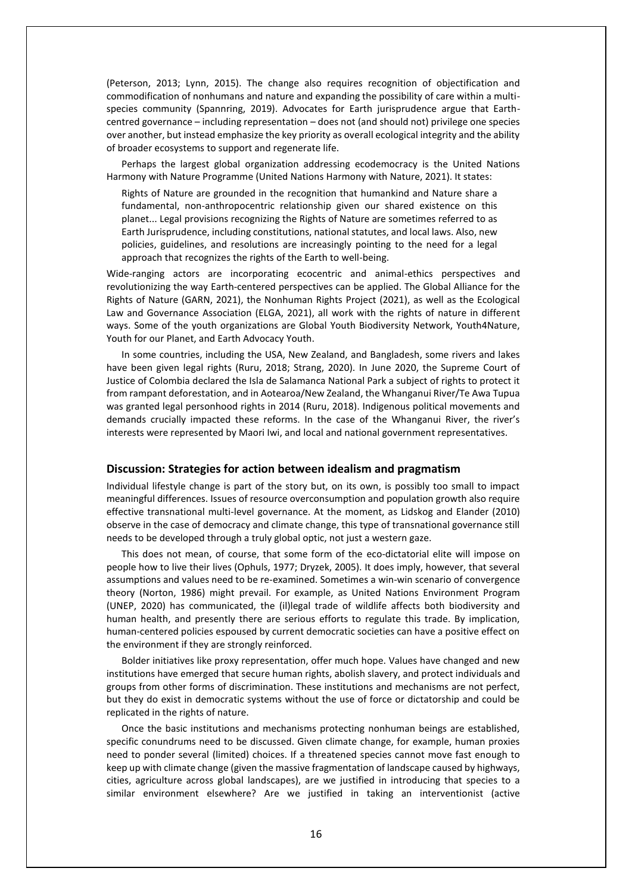(Peterson, 2013; Lynn, 2015). The change also requires recognition of objectification and commodification of nonhumans and nature and expanding the possibility of care within a multispecies community (Spannring, 2019). Advocates for Earth jurisprudence argue that Earthcentred governance – including representation – does not (and should not) privilege one species over another, but instead emphasize the key priority as overall ecological integrity and the ability of broader ecosystems to support and regenerate life.

Perhaps the largest global organization addressing ecodemocracy is the United Nations Harmony with Nature Programme (United Nations Harmony with Nature, 2021). It states:

Rights of Nature are grounded in the recognition that humankind and Nature share a fundamental, non-anthropocentric relationship given our shared existence on this planet... Legal provisions recognizing the Rights of Nature are sometimes referred to as Earth Jurisprudence, including constitutions, national statutes, and local laws. Also, new policies, guidelines, and resolutions are increasingly pointing to the need for a legal approach that recognizes the rights of the Earth to well-being.

Wide-ranging actors are incorporating ecocentric and animal-ethics perspectives and revolutionizing the way Earth-centered perspectives can be applied. The Global Alliance for the Rights of Nature (GARN, 2021), the Nonhuman Rights Project (2021), as well as the Ecological Law and Governance Association (ELGA, 2021), all work with the rights of nature in different ways. Some of the youth organizations are Global Youth Biodiversity Network, Youth4Nature, Youth for our Planet, and Earth Advocacy Youth.

In some countries, including the USA, New Zealand, and Bangladesh, some rivers and lakes have been given legal rights (Ruru, 2018; Strang, 2020). In June 2020, the Supreme Court of Justice of Colombia declared the Isla de Salamanca National Park a subject of rights to protect it from rampant deforestation, and in Aotearoa/New Zealand, the Whanganui River/Te Awa Tupua was granted legal personhood rights in 2014 (Ruru, 2018). Indigenous political movements and demands crucially impacted these reforms. In the case of the Whanganui River, the river's interests were represented by Maori Iwi, and local and national government representatives.

### **Discussion: Strategies for action between idealism and pragmatism**

Individual lifestyle change is part of the story but, on its own, is possibly too small to impact meaningful differences. Issues of resource overconsumption and population growth also require effective transnational multi-level governance. At the moment, as Lidskog and Elander (2010) observe in the case of democracy and climate change, this type of transnational governance still needs to be developed through a truly global optic, not just a western gaze.

This does not mean, of course, that some form of the eco-dictatorial elite will impose on people how to live their lives (Ophuls, 1977; Dryzek, 2005). It does imply, however, that several assumptions and values need to be re-examined. Sometimes a win-win scenario of convergence theory (Norton, 1986) might prevail. For example, as United Nations Environment Program (UNEP, 2020) has communicated, the (il)legal trade of wildlife affects both biodiversity and human health, and presently there are serious efforts to regulate this trade. By implication, human-centered policies espoused by current democratic societies can have a positive effect on the environment if they are strongly reinforced.

Bolder initiatives like proxy representation, offer much hope. Values have changed and new institutions have emerged that secure human rights, abolish slavery, and protect individuals and groups from other forms of discrimination. These institutions and mechanisms are not perfect, but they do exist in democratic systems without the use of force or dictatorship and could be replicated in the rights of nature.

Once the basic institutions and mechanisms protecting nonhuman beings are established, specific conundrums need to be discussed. Given climate change, for example, human proxies need to ponder several (limited) choices. If a threatened species cannot move fast enough to keep up with climate change (given the massive fragmentation of landscape caused by highways, cities, agriculture across global landscapes), are we justified in introducing that species to a similar environment elsewhere? Are we justified in taking an interventionist (active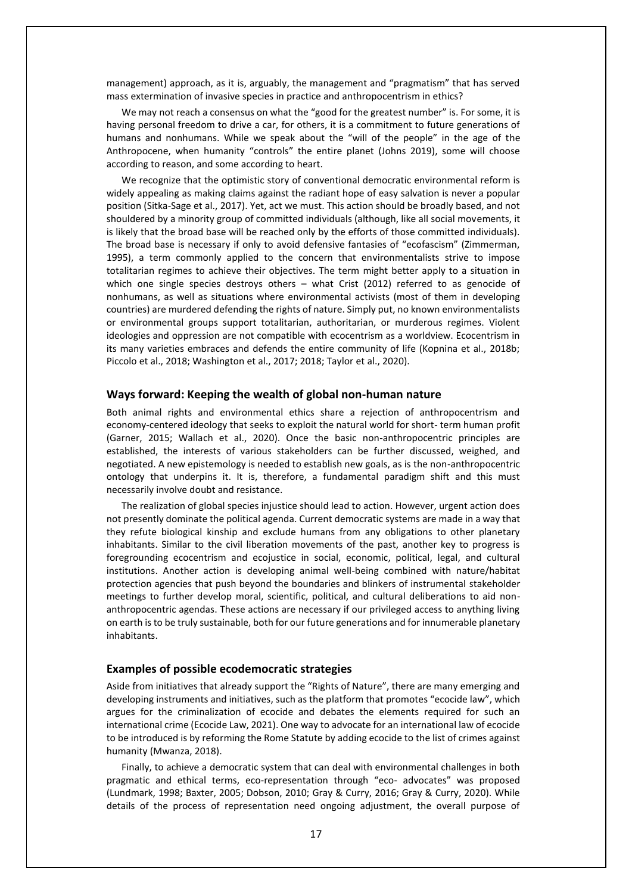management) approach, as it is, arguably, the management and "pragmatism" that has served mass extermination of invasive species in practice and anthropocentrism in ethics?

We may not reach a consensus on what the "good for the greatest number" is. For some, it is having personal freedom to drive a car, for others, it is a commitment to future generations of humans and nonhumans. While we speak about the "will of the people" in the age of the Anthropocene, when humanity "controls" the entire planet (Johns 2019), some will choose according to reason, and some according to heart.

We recognize that the optimistic story of conventional democratic environmental reform is widely appealing as making claims against the radiant hope of easy salvation is never a popular position (Sitka-Sage et al., 2017). Yet, act we must. This action should be broadly based, and not shouldered by a minority group of committed individuals (although, like all social movements, it is likely that the broad base will be reached only by the efforts of those committed individuals). The broad base is necessary if only to avoid defensive fantasies of "ecofascism" (Zimmerman, 1995), a term commonly applied to the concern that environmentalists strive to impose totalitarian regimes to achieve their objectives. The term might better apply to a situation in which one single species destroys others - what Crist (2012) referred to as genocide of nonhumans, as well as situations where environmental activists (most of them in developing countries) are murdered defending the rights of nature. Simply put, no known environmentalists or environmental groups support totalitarian, authoritarian, or murderous regimes. Violent ideologies and oppression are not compatible with ecocentrism as a worldview. Ecocentrism in its many varieties embraces and defends the entire community of life (Kopnina et al., 2018b; Piccolo et al., 2018; Washington et al., 2017; 2018; Taylor et al., 2020).

### **Ways forward: Keeping the wealth of global non-human nature**

Both animal rights and environmental ethics share a rejection of anthropocentrism and economy-centered ideology that seeks to exploit the natural world for short- term human profit (Garner, 2015; Wallach et al., 2020). Once the basic non-anthropocentric principles are established, the interests of various stakeholders can be further discussed, weighed, and negotiated. A new epistemology is needed to establish new goals, as is the non-anthropocentric ontology that underpins it. It is, therefore, a fundamental paradigm shift and this must necessarily involve doubt and resistance.

The realization of global species injustice should lead to action. However, urgent action does not presently dominate the political agenda. Current democratic systems are made in a way that they refute biological kinship and exclude humans from any obligations to other planetary inhabitants. Similar to the civil liberation movements of the past, another key to progress is foregrounding ecocentrism and ecojustice in social, economic, political, legal, and cultural institutions. Another action is developing animal well-being combined with nature/habitat protection agencies that push beyond the boundaries and blinkers of instrumental stakeholder meetings to further develop moral, scientific, political, and cultural deliberations to aid nonanthropocentric agendas. These actions are necessary if our privileged access to anything living on earth is to be truly sustainable, both for our future generations and for innumerable planetary inhabitants.

# **Examples of possible ecodemocratic strategies**

Aside from initiatives that already support the "Rights of Nature", there are many emerging and developing instruments and initiatives, such as the platform that promotes "ecocide law", which argues for the criminalization of ecocide and debates the elements required for such an international crime (Ecocide Law, 2021). One way to advocate for an international law of ecocide to be introduced is by reforming the Rome Statute by adding ecocide to the list of crimes against humanity (Mwanza, 2018).

Finally, to achieve a democratic system that can deal with environmental challenges in both pragmatic and ethical terms, eco-representation through "eco- advocates" was proposed (Lundmark, 1998; Baxter, 2005; Dobson, 2010; Gray & Curry, 2016; Gray & Curry, 2020). While details of the process of representation need ongoing adjustment, the overall purpose of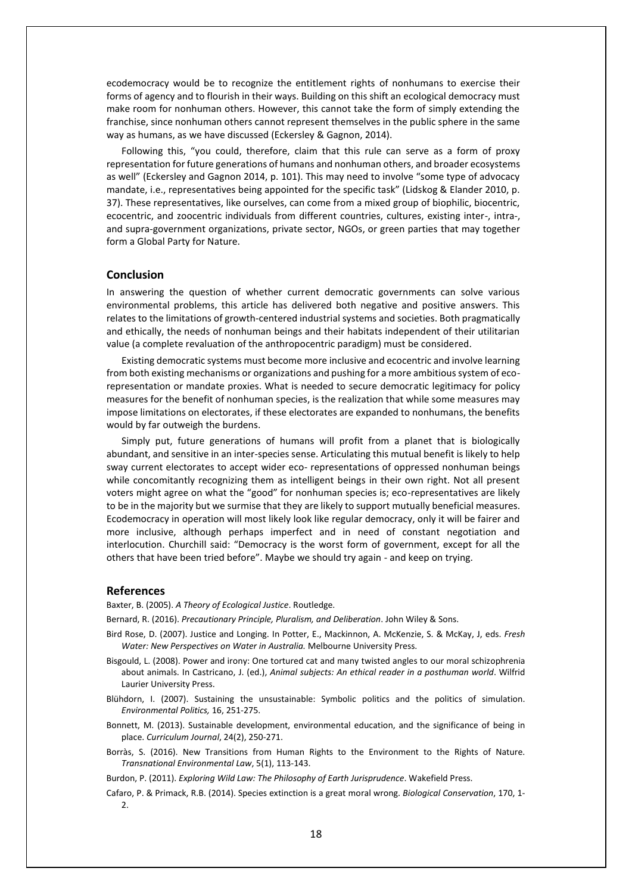ecodemocracy would be to recognize the entitlement rights of nonhumans to exercise their forms of agency and to flourish in their ways. Building on this shift an ecological democracy must make room for nonhuman others. However, this cannot take the form of simply extending the franchise, since nonhuman others cannot represent themselves in the public sphere in the same way as humans, as we have discussed (Eckersley & Gagnon, 2014).

Following this, "you could, therefore, claim that this rule can serve as a form of proxy representation for future generations of humans and nonhuman others, and broader ecosystems as well" (Eckersley and Gagnon 2014, p. 101). This may need to involve "some type of advocacy mandate, i.e., representatives being appointed for the specific task" (Lidskog & Elander 2010, p. 37). These representatives, like ourselves, can come from a mixed group of biophilic, biocentric, ecocentric, and zoocentric individuals from different countries, cultures, existing inter-, intra-, and supra-government organizations, private sector, NGOs, or green parties that may together form a Global Party for Nature.

# **Conclusion**

In answering the question of whether current democratic governments can solve various environmental problems, this article has delivered both negative and positive answers. This relates to the limitations of growth-centered industrial systems and societies. Both pragmatically and ethically, the needs of nonhuman beings and their habitats independent of their utilitarian value (a complete revaluation of the anthropocentric paradigm) must be considered.

Existing democratic systems must become more inclusive and ecocentric and involve learning from both existing mechanisms or organizations and pushing for a more ambitious system of ecorepresentation or mandate proxies. What is needed to secure democratic legitimacy for policy measures for the benefit of nonhuman species, is the realization that while some measures may impose limitations on electorates, if these electorates are expanded to nonhumans, the benefits would by far outweigh the burdens.

Simply put, future generations of humans will profit from a planet that is biologically abundant, and sensitive in an inter-species sense. Articulating this mutual benefit is likely to help sway current electorates to accept wider eco- representations of oppressed nonhuman beings while concomitantly recognizing them as intelligent beings in their own right. Not all present voters might agree on what the "good" for nonhuman species is; eco-representatives are likely to be in the majority but we surmise that they are likely to support mutually beneficial measures. Ecodemocracy in operation will most likely look like regular democracy, only it will be fairer and more inclusive, although perhaps imperfect and in need of constant negotiation and interlocution. Churchill said: "Democracy is the worst form of government, except for all the others that have been tried before". Maybe we should try again - and keep on trying.

#### **References**

Baxter, B. (2005). *A Theory of Ecological Justice*. Routledge.

Bernard, R. (2016). *Precautionary Principle, Pluralism, and Deliberation*. John Wiley & Sons.

- Bird Rose, D. (2007). Justice and Longing. In Potter, E., Mackinnon, A. McKenzie, S. & McKay, J, eds. *Fresh Water: New Perspectives on Water in Australia.* Melbourne University Press.
- Bisgould, L. (2008). Power and irony: One tortured cat and many twisted angles to our moral schizophrenia about animals. In Castricano, J. (ed.), *Animal subjects: An ethical reader in a posthuman world*. Wilfrid Laurier University Press.
- Blühdorn, I. (2007). Sustaining the unsustainable: Symbolic politics and the politics of simulation. *Environmental Politics,* 16, 251-275.
- Bonnett, M. (2013). Sustainable development, environmental education, and the significance of being in place. *Curriculum Journal*, 24(2), 250-271.
- Borràs, S. (2016). New Transitions from Human Rights to the Environment to the Rights of Nature. *Transnational Environmental Law*, 5(1), 113-143.

Burdon, P. (2011). *Exploring Wild Law: The Philosophy of Earth Jurisprudence*. Wakefield Press.

Cafaro, P. & Primack, R.B. (2014). Species extinction is a great moral wrong. *Biological Conservation*, 170, 1- 2.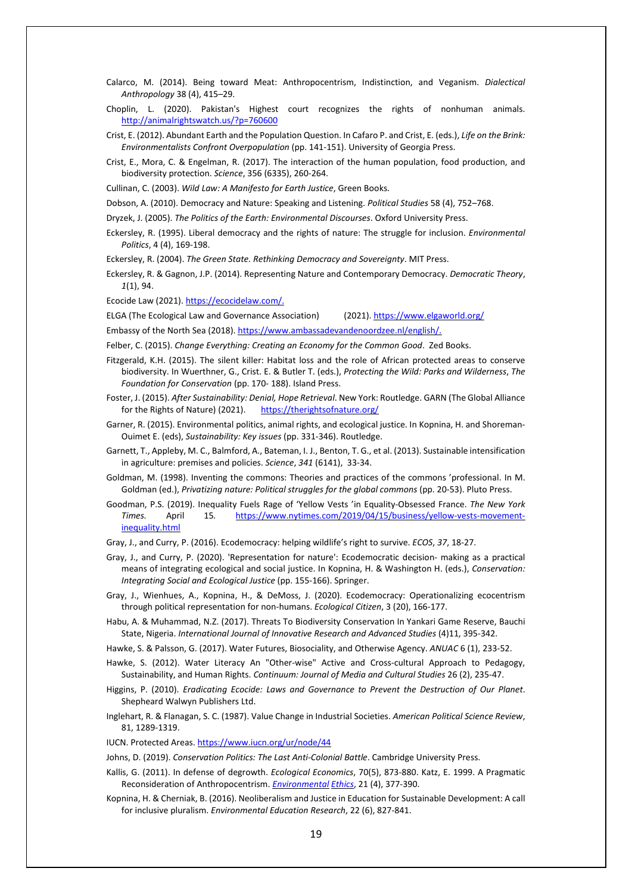- Calarco, M. (2014). Being toward Meat: Anthropocentrism, Indistinction, and Veganism. *Dialectical Anthropology* 38 (4), 415–29.
- Choplin, L. (2020). Pakistan's Highest court recognizes the rights of nonhuman animals. <http://animalrightswatch.us/?p=760600>
- Crist, E. (2012). Abundant Earth and the Population Question. In Cafaro P. and Crist, E. (eds.), *Life on the Brink: Environmentalists Confront Overpopulation* (pp. 141-151). University of Georgia Press.
- Crist, E., Mora, C. & Engelman, R. (2017). The interaction of the human population, food production, and biodiversity protection. *Science*, 356 (6335), 260-264.
- Cullinan, C. (2003). *Wild Law: A Manifesto for Earth Justice*, Green Books.
- Dobson, A. (2010). Democracy and Nature: Speaking and Listening. *Political Studies* 58 (4), 752–768.
- Dryzek, J. (2005). *The Politics of the Earth: Environmental Discourses*. Oxford University Press.
- Eckersley, R. (1995). Liberal democracy and the rights of nature: The struggle for inclusion. *Environmental Politics*, 4 (4), 169-198.
- Eckersley, R. (2004). *The Green State. Rethinking Democracy and Sovereignty*. MIT Press.
- Eckersley, R. & Gagnon, J.P. (2014). Representing Nature and Contemporary Democracy. *Democratic Theory*, *1*(1), 94.
- Ecocide Law (2021). [https://ecocidelaw.com/.](https://ecocidelaw.com/)
- ELGA (The Ecological Law and Governance Association) (2021). <https://www.elgaworld.org/>
- Embassy of the North Sea (2018). [https://www.ambassadevandenoordzee.nl/english/.](https://www.ambassadevandenoordzee.nl/english/)
- Felber, C. (2015). *Change Everything: Creating an Economy for the Common Good*. Zed Books.
- Fitzgerald, K.H. (2015). The silent killer: Habitat loss and the role of African protected areas to conserve biodiversity. In Wuerthner, G., Crist. E. & Butler T. (eds.), *Protecting the Wild: Parks and Wilderness*, *The Foundation for Conservation* (pp. 170- 188). Island Press.
- Foster, J. (2015). *After Sustainability: Denial, Hope Retrieval*. New York: Routledge. GARN (The Global Alliance for the Rights of Nature) (2021). <https://therightsofnature.org/>
- Garner, R. (2015). Environmental politics, animal rights, and ecological justice. In Kopnina, H. and Shoreman-Ouimet E. (eds), *Sustainability: Key issues* (pp. 331-346). Routledge.
- Garnett, T., Appleby, M. C., Balmford, A., Bateman, I. J., Benton, T. G., et al. (2013). Sustainable intensification in agriculture: premises and policies. *Science*, *341* (6141), 33-34.
- Goldman, M. (1998). Inventing the commons: Theories and practices of the commons 'professional. In M. Goldman (ed.), *Privatizing nature: Political struggles for the global commons* (pp. 20-53). Pluto Press.
- Goodman, P.S. (2019). Inequality Fuels Rage of 'Yellow Vests 'in Equality-Obsessed France. *The New York Times.* April 15*.* [https://www.nytimes.com/2019/04/15/business/yellow-vests-movement](https://www.nytimes.com/2019/04/15/business/yellow-vests-movement-inequality.html)[inequality.html](https://www.nytimes.com/2019/04/15/business/yellow-vests-movement-inequality.html)
- Gray, J., and Curry, P. (2016). Ecodemocracy: helping wildlife's right to survive. *ECOS*, *37*, 18-27.
- Gray, J., and Curry, P. (2020). 'Representation for nature': Ecodemocratic decision- making as a practical means of integrating ecological and social justice. In Kopnina, H. & Washington H. (eds.), *Conservation: Integrating Social and Ecological Justice* (pp. 155-166). Springer.
- Gray, J., Wienhues, A., Kopnina, H., & DeMoss, J. (2020). Ecodemocracy: Operationalizing ecocentrism through political representation for non-humans. *Ecological Citizen*, 3 (20), 166-177.
- Habu, A. & Muhammad, N.Z. (2017). Threats To Biodiversity Conservation In Yankari Game Reserve, Bauchi State, Nigeria. *International Journal of Innovative Research and Advanced Studies* (4)11, 395-342.
- Hawke, S. & Palsson, G. (2017). Water Futures, Biosociality, and Otherwise Agency. *ANUAC* 6 (1), 233-52.
- Hawke, S. (2012). Water Literacy An "Other-wise" Active and Cross-cultural Approach to Pedagogy, Sustainability, and Human Rights. *Continuum: Journal of Media and Cultural Studies* 26 (2), 235-47.
- Higgins, P. (2010). *Eradicating Ecocide: Laws and Governance to Prevent the Destruction of Our Planet*. Shepheard Walwyn Publishers Ltd.
- Inglehart, R. & Flanagan, S. C. (1987). Value Change in Industrial Societies. *American Political Science Review*, 81, 1289-1319.
- IUCN. Protected Areas. <https://www.iucn.org/ur/node/44>
- Johns, D. (2019). *Conservation Politics: The Last Anti-Colonial Battle*. Cambridge University Press.
- Kallis, G. (2011). In defense of degrowth. *Ecological Economics*, 70(5), 873-880. Katz, E. 1999. A Pragmatic Reconsideration of Anthropocentrism. *[Environmental](http://philpapers.org/asearch.pl?pubn=Environmental%2520Ethics) [Ethics](http://philpapers.org/asearch.pl?pubn=Environmental%2520Ethics)*, 21 (4), 377-390.
- Kopnina, H. & Cherniak, B. (2016). Neoliberalism and Justice in Education for Sustainable Development: A call for inclusive pluralism. *Environmental Education Research*, 22 (6), 827-841.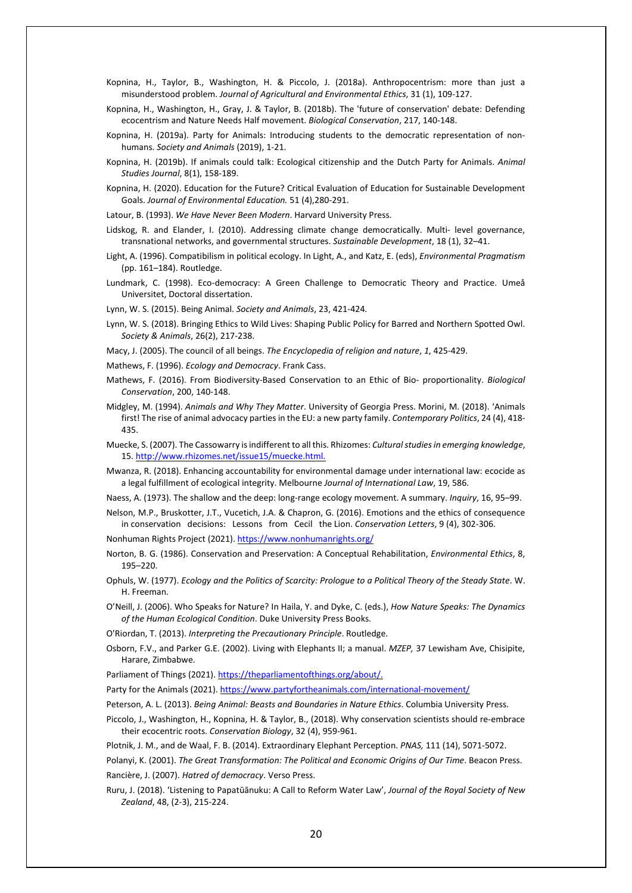- Kopnina, H., Taylor, B., Washington, H. & Piccolo, J. (2018a). Anthropocentrism: more than just a misunderstood problem. *Journal of Agricultural and Environmental Ethics*, 31 (1), 109-127.
- Kopnina, H., Washington, H., Gray, J. & Taylor, B. (2018b). The 'future of conservation' debate: Defending ecocentrism and Nature Needs Half movement. *Biological Conservation*, 217, 140-148.
- Kopnina, H. (2019a). Party for Animals: Introducing students to the democratic representation of nonhumans. *Society and Animals* (2019), 1-21.
- Kopnina, H. (2019b). If animals could talk: Ecological citizenship and the Dutch Party for Animals. *Animal Studies Journal*, 8(1), 158-189.
- Kopnina, H. (2020). Education for the Future? Critical Evaluation of Education for Sustainable Development Goals. *Journal of Environmental Education.* 51 (4),280-291.
- Latour, B. (1993). *We Have Never Been Modern*. Harvard University Press.
- Lidskog, R. and Elander, I. (2010). Addressing climate change democratically. Multi- level governance, transnational networks, and governmental structures. *Sustainable Development*, 18 (1), 32–41.
- Light, A. (1996). Compatibilism in political ecology. In Light, A., and Katz, E. (eds), *Environmental Pragmatism* (pp. 161–184). Routledge.
- Lundmark, C. (1998). Eco-democracy: A Green Challenge to Democratic Theory and Practice. Umeå Universitet, Doctoral dissertation.
- Lynn, W. S. (2015). Being Animal. *Society and Animals*, 23, 421-424.
- Lynn, W. S. (2018). Bringing Ethics to Wild Lives: Shaping Public Policy for Barred and Northern Spotted Owl. *Society & Animals*, 26(2), 217-238.
- Macy, J. (2005). The council of all beings. *The Encyclopedia of religion and nature*, *1*, 425-429.
- Mathews, F. (1996). *Ecology and Democracy*. Frank Cass.
- Mathews, F. (2016). From Biodiversity-Based Conservation to an Ethic of Bio- proportionality. *Biological Conservation*, 200, 140-148.
- Midgley, M. (1994). *Animals and Why They Matter*. University of Georgia Press. Morini, M. (2018). 'Animals first! The rise of animal advocacy parties in the EU: a new party family. *Contemporary Politics*, 24 (4), 418- 435.
- Muecke, S. (2007). The Cassowarry isindifferent to all this. Rhizomes: *Culturalstudiesin emerging knowledge*, 15. [http://www.rhizomes.net/issue15/muecke.html.](http://www.rhizomes.net/issue15/muecke.html)
- Mwanza, R. (2018). Enhancing accountability for environmental damage under international law: ecocide as a legal fulfillment of ecological integrity. Melbourne *Journal of International Law*, 19, 586.
- Naess, A. (1973). The shallow and the deep: long-range ecology movement. A summary. *Inquiry*, 16, 95–99.
- Nelson, M.P., Bruskotter, J.T., Vucetich, J.A. & Chapron, G. (2016). Emotions and the ethics of consequence in conservation decisions: Lessons from Cecil the Lion. *Conservation Letters*, 9 (4), 302-306.
- Nonhuman Rights Project (2021). <https://www.nonhumanrights.org/>
- Norton, B. G. (1986). Conservation and Preservation: A Conceptual Rehabilitation, *Environmental Ethics*, 8, 195–220.
- Ophuls, W. (1977). *Ecology and the Politics of Scarcity: Prologue to a Political Theory of the Steady State*. W. H. Freeman.
- O'Neill, J. (2006). Who Speaks for Nature? In Haila, Y. and Dyke, C. (eds.), *How Nature Speaks: The Dynamics of the Human Ecological Condition*. Duke University Press Books.
- O'Riordan, T. (2013). *Interpreting the Precautionary Principle*. Routledge.
- Osborn, F.V., and Parker G.E. (2002). Living with Elephants II; a manual. *MZEP,* 37 Lewisham Ave, Chisipite, Harare, Zimbabwe.
- Parliament of Things (2021). [https://theparliamentofthings.org/about/.](https://theparliamentofthings.org/about/)
- Party for the Animals (2021). <https://www.partyfortheanimals.com/international-movement/>
- Peterson, A. L. (2013). *Being Animal: Beasts and Boundaries in Nature Ethics*. Columbia University Press.
- Piccolo, J., Washington, H., Kopnina, H. & Taylor, B., (2018). Why conservation scientists should re-embrace their ecocentric roots. *Conservation Biology*, 32 (4), 959-961.
- Plotnik, J. M., and de Waal, F. B. (2014). Extraordinary Elephant Perception. *PNAS,* 111 (14), 5071-5072.
- Polanyi, K. (2001). *The Great Transformation: The Political and Economic Origins of Our Time*. Beacon Press. Rancière, J. (2007). *Hatred of democracy*. Verso Press.
- Ruru, J. (2018). 'Listening to Papatūānuku: A Call to Reform Water Law', *Journal of the Royal Society of New Zealand*, 48, (2-3), 215-224.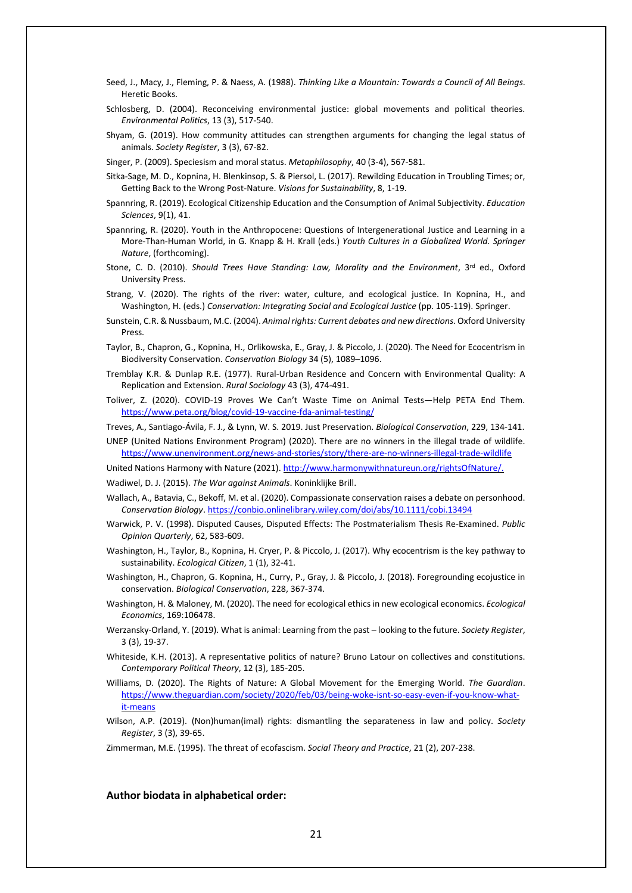- Seed, J., Macy, J., Fleming, P. & Naess, A. (1988). *Thinking Like a Mountain: Towards a Council of All Beings*. Heretic Books.
- Schlosberg, D. (2004). Reconceiving environmental justice: global movements and political theories. *Environmental Politics*, 13 (3), 517-540.
- Shyam, G. (2019). How community attitudes can strengthen arguments for changing the legal status of animals. *Society Register*, 3 (3), 67-82.
- Singer, P. (2009). Speciesism and moral status. *Metaphilosophy*, 40 (3-4), 567-581.
- Sitka-Sage, M. D., Kopnina, H. Blenkinsop, S. & Piersol, L. (2017). Rewilding Education in Troubling Times; or, Getting Back to the Wrong Post-Nature. *Visions for Sustainability*, 8, 1-19.
- Spannring, R. (2019). Ecological Citizenship Education and the Consumption of Animal Subjectivity. *Education Sciences*, 9(1), 41.
- Spannring, R. (2020). Youth in the Anthropocene: Questions of Intergenerational Justice and Learning in a More-Than-Human World, in G. Knapp & H. Krall (eds.) *Youth Cultures in a Globalized World. Springer Nature*, (forthcoming).
- Stone, C. D. (2010). *Should Trees Have Standing: Law, Morality and the Environment*, 3 rd ed., Oxford University Press.
- Strang, V. (2020). The rights of the river: water, culture, and ecological justice. In Kopnina, H., and Washington, H. (eds.) *Conservation: Integrating Social and Ecological Justice* (pp. 105-119). Springer.
- Sunstein, C.R. & Nussbaum, M.C. (2004). *Animal rights: Current debates and new directions*.Oxford University Press.
- Taylor, B., Chapron, G., Kopnina, H., Orlikowska, E., Gray, J. & Piccolo, J. (2020). The Need for Ecocentrism in Biodiversity Conservation. *Conservation Biology* 34 (5), 1089–1096.
- Tremblay K.R. & Dunlap R.E. (1977). Rural-Urban Residence and Concern with Environmental Quality: A Replication and Extension. *Rural Sociology* 43 (3), 474-491.
- Toliver, Z. (2020). COVID-19 Proves We Can't Waste Time on Animal Tests—Help PETA End Them. <https://www.peta.org/blog/covid-19-vaccine-fda-animal-testing/>
- Treves, A., Santiago-Ávila, F. J., & Lynn, W. S. 2019. Just Preservation. *Biological Conservation*, 229, 134-141.
- UNEP (United Nations Environment Program) (2020). There are no winners in the illegal trade of wildlife. <https://www.unenvironment.org/news-and-stories/story/there-are-no-winners-illegal-trade-wildlife>
- United Nations Harmony with Nature (2021). [http://www.harmonywithnatureun.org/rightsOfNature/.](http://www.harmonywithnatureun.org/rightsOfNature/)
- Wadiwel, D. J. (2015). *The War against Animals*. Koninklijke Brill.
- Wallach, A., Batavia, C., Bekoff, M. et al. (2020). Compassionate conservation raises a debate on personhood. *Conservation Biology*. <https://conbio.onlinelibrary.wiley.com/doi/abs/10.1111/cobi.13494>
- Warwick, P. V. (1998). Disputed Causes, Disputed Effects: The Postmaterialism Thesis Re-Examined. *Public Opinion Quarterly*, 62, 583-609.
- Washington, H., Taylor, B., Kopnina, H. Cryer, P. & Piccolo, J. (2017). Why ecocentrism is the key pathway to sustainability. *Ecological Citizen*, 1 (1), 32-41.
- Washington, H., Chapron, G. Kopnina, H., Curry, P., Gray, J. & Piccolo, J. (2018). Foregrounding ecojustice in conservation. *Biological Conservation*, 228, 367-374.
- Washington, H. & Maloney, M. (2020). The need for ecological ethics in new ecological economics. *Ecological Economics*, 169:106478.
- Werzansky-Orland, Y. (2019). What is animal: Learning from the past looking to the future. *Society Register*, 3 (3), 19-37.
- Whiteside, K.H. (2013). A representative politics of nature? Bruno Latour on collectives and constitutions. *Contemporary Political Theory*, 12 (3), 185-205.
- Williams, D. (2020). The Rights of Nature: A Global Movement for the Emerging World. *The Guardian*. [https://www.theguardian.com/society/2020/feb/03/being-woke-isnt-so-easy-even-if-you-know-what](https://www.theguardian.com/society/2020/feb/03/being-woke-isnt-so-easy-even-if-you-know-what-it-means)[it-means](https://www.theguardian.com/society/2020/feb/03/being-woke-isnt-so-easy-even-if-you-know-what-it-means)
- Wilson, A.P. (2019). (Non)human(imal) rights: dismantling the separateness in law and policy. *Society Register*, 3 (3), 39-65.

Zimmerman, M.E. (1995). The threat of ecofascism. *Social Theory and Practice*, 21 (2), 207-238.

#### **Author biodata in alphabetical order:**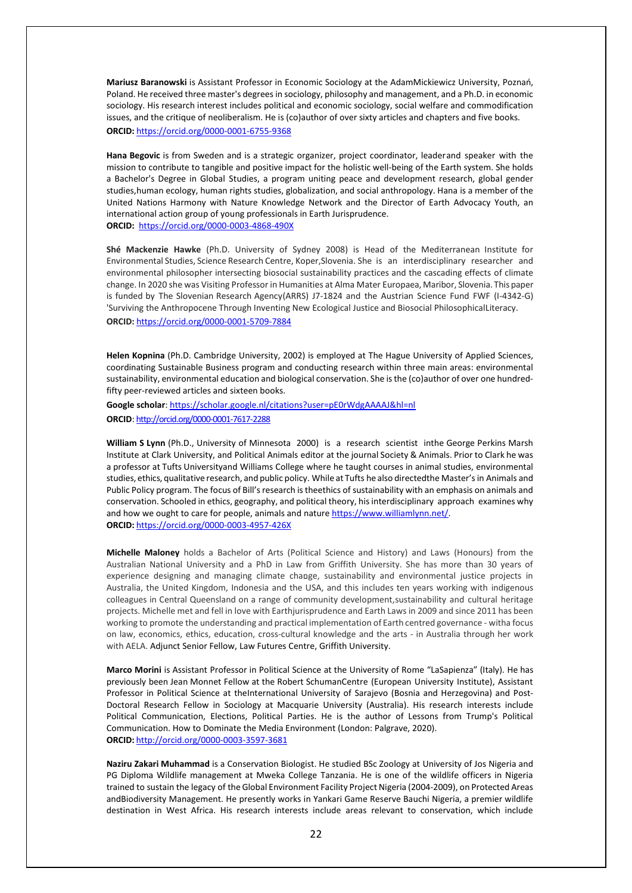**Mariusz Baranowski** is Assistant Professor in Economic Sociology at the AdamMickiewicz University, Poznań, Poland. He received three master's degrees in sociology, philosophy and management, and a Ph.D. in economic sociology. His research interest includes political and economic sociology, social welfare and commodification issues, and the critique of neoliberalism. He is (co)author of over sixty articles and chapters and five books. **ORCID:** <https://orcid.org/0000-0001-6755-9368>

**Hana Begovic** is from Sweden and is a strategic organizer, project coordinator, leaderand speaker with the mission to contribute to tangible and positive impact for the holistic well-being of the Earth system. She holds a Bachelor's Degree in Global Studies, a program uniting peace and development research, global gender studies,human ecology, human rights studies, globalization, and social anthropology. Hana is a member of the United Nations Harmony with Nature Knowledge Network and the Director of Earth Advocacy Youth, an international action group of young professionals in Earth Jurisprudence. **ORCID:** <https://orcid.org/0000-0003-4868-490X>

**Shé Mackenzie Hawke** (Ph.D. University of Sydney 2008) is Head of the Mediterranean Institute for Environmental Studies, Science Research Centre, Koper,Slovenia. She is an interdisciplinary researcher and environmental philosopher intersecting biosocial sustainability practices and the cascading effects of climate change. In 2020 she was Visiting Professor in Humanities at Alma Mater Europaea, Maribor, Slovenia. This paper is funded by The Slovenian Research Agency(ARRS) J7-1824 and the Austrian Science Fund FWF (I-4342-G) 'Surviving the Anthropocene Through Inventing New Ecological Justice and Biosocial PhilosophicalLiteracy. **ORCID:** <https://orcid.org/0000-0001-5709-7884>

**Helen Kopnina** (Ph.D. Cambridge University, 2002) is employed at The Hague University of Applied Sciences, coordinating Sustainable Business program and conducting research within three main areas: environmental sustainability, environmental education and biological conservation. She is the (co)author of over one hundredfifty peer-reviewed articles and sixteen books.

**Google scholar**[: https://scholar.google.nl/citations?user=pE0rWdgAAAAJ&hl=nl](https://scholar.google.nl/citations?user=pE0rWdgAAAAJ&hl=nl) **ORCID**: <http://orcid.org/0000-0001-7617-2288>

**William S Lynn** (Ph.D., University of Minnesota 2000) is a research scientist inthe George Perkins Marsh Institute at Clark University, and Political Animals editor at the journal Society & Animals. Prior to Clark he was a professor at Tufts Universityand Williams College where he taught courses in animal studies, environmental studies, ethics, qualitative research, and public policy. While at Tufts he also directedthe Master'sin Animals and Public Policy program. The focus of Bill's research is theethics of sustainability with an emphasis on animals and conservation. Schooled in ethics, geography, and political theory, hisinterdisciplinary approach examines why and how we ought to care for people, animals and nature [https://www.williamlynn.net/.](https://www.williamlynn.net/) **ORCID:** <https://orcid.org/0000-0003-4957-426X>

**Michelle Maloney** holds a Bachelor of Arts (Political Science and History) and Laws (Honours) from the Australian National University and a PhD in Law from Griffith University. She has more than 30 years of experience designing and managing climate change, sustainability and environmental justice projects in Australia, the United Kingdom, Indonesia and the USA, and this includes ten years working with indigenous colleagues in Central Queensland on a range of community development,sustainability and cultural heritage projects. Michelle met and fell in love with Earthjurisprudence and Earth Laws in 2009 and since 2011 has been working to promote the understanding and practical implementation of Earth centred governance - witha focus on law, economics, ethics, education, cross-cultural knowledge and the arts - in Australia through her work with AELA. Adjunct Senior Fellow[, Law Futures](https://www.griffith.edu.au/law-futures-centre) [Centre,](https://www.griffith.edu.au/law-futures-centre) Griffith University.

**Marco Morini** is Assistant Professor in Political Science at the University of Rome "LaSapienza" (Italy). He has previously been Jean Monnet Fellow at the Robert SchumanCentre (European University Institute), Assistant Professor in Political Science at theInternational University of Sarajevo (Bosnia and Herzegovina) and Post-Doctoral Research Fellow in Sociology at Macquarie University (Australia). His research interests include Political Communication, Elections, Political Parties. He is the author of Lessons from Trump's Political Communication. How to Dominate the Media Environment (London: Palgrave, 2020). **ORCID:** <http://orcid.org/0000-0003-3597-3681>

**Naziru Zakari Muhammad** is a Conservation Biologist. He studied BSc Zoology at University of Jos Nigeria and PG Diploma Wildlife management at Mweka College Tanzania. He is one of the wildlife officers in Nigeria trained to sustain the legacy of theGlobal Environment Facility Project Nigeria (2004-2009), on Protected Areas andBiodiversity Management. He presently works in Yankari Game Reserve Bauchi Nigeria, a premier wildlife destination in West Africa. His research interests include areas relevant to conservation, which include